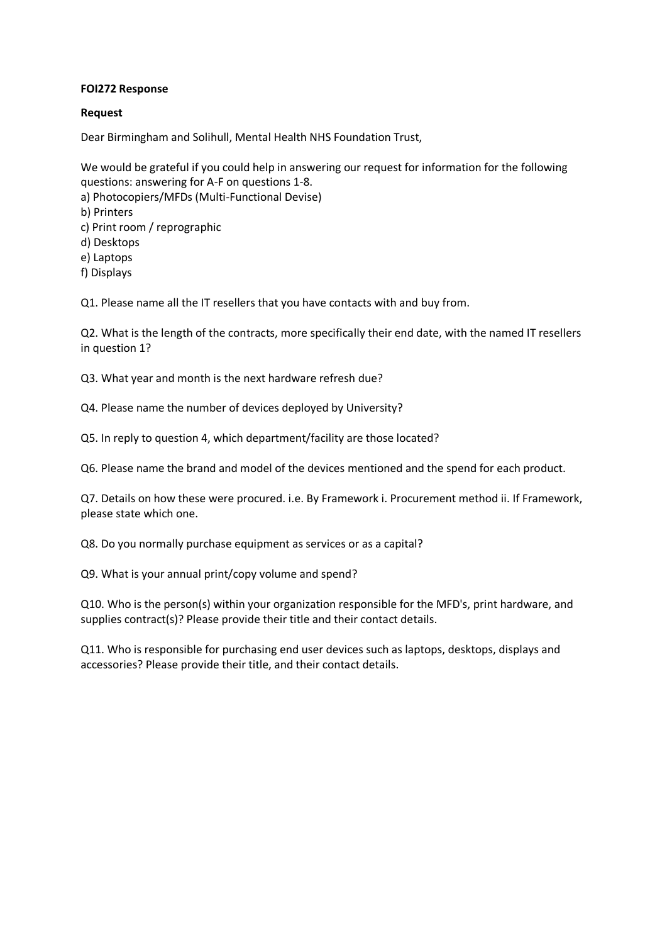### **FOI272 Response**

#### **Request**

Dear Birmingham and Solihull, Mental Health NHS Foundation Trust,

We would be grateful if you could help in answering our request for information for the following questions: answering for A-F on questions 1-8. a) Photocopiers/MFDs (Multi-Functional Devise) b) Printers c) Print room / reprographic d) Desktops e) Laptops f) Displays

Q1. Please name all the IT resellers that you have contacts with and buy from.

Q2. What is the length of the contracts, more specifically their end date, with the named IT resellers in question 1?

Q3. What year and month is the next hardware refresh due?

Q4. Please name the number of devices deployed by University?

Q5. In reply to question 4, which department/facility are those located?

Q6. Please name the brand and model of the devices mentioned and the spend for each product.

Q7. Details on how these were procured. i.e. By Framework i. Procurement method ii. If Framework, please state which one.

Q8. Do you normally purchase equipment as services or as a capital?

Q9. What is your annual print/copy volume and spend?

Q10. Who is the person(s) within your organization responsible for the MFD's, print hardware, and supplies contract(s)? Please provide their title and their contact details.

Q11. Who is responsible for purchasing end user devices such as laptops, desktops, displays and accessories? Please provide their title, and their contact details.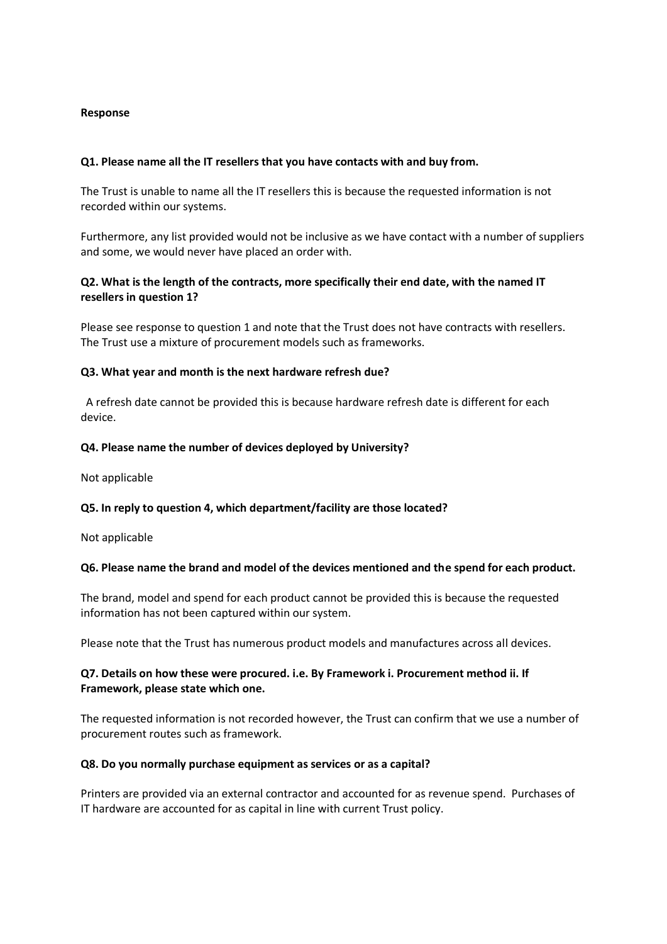### **Response**

## **Q1. Please name all the IT resellers that you have contacts with and buy from.**

The Trust is unable to name all the IT resellers this is because the requested information is not recorded within our systems.

Furthermore, any list provided would not be inclusive as we have contact with a number of suppliers and some, we would never have placed an order with.

# **Q2. What is the length of the contracts, more specifically their end date, with the named IT resellers in question 1?**

Please see response to question 1 and note that the Trust does not have contracts with resellers. The Trust use a mixture of procurement models such as frameworks.

### **Q3. What year and month is the next hardware refresh due?**

 A refresh date cannot be provided this is because hardware refresh date is different for each device.

### **Q4. Please name the number of devices deployed by University?**

Not applicable

### **Q5. In reply to question 4, which department/facility are those located?**

Not applicable

### **Q6. Please name the brand and model of the devices mentioned and the spend for each product.**

The brand, model and spend for each product cannot be provided this is because the requested information has not been captured within our system.

Please note that the Trust has numerous product models and manufactures across all devices.

## **Q7. Details on how these were procured. i.e. By Framework i. Procurement method ii. If Framework, please state which one.**

The requested information is not recorded however, the Trust can confirm that we use a number of procurement routes such as framework.

### **Q8. Do you normally purchase equipment as services or as a capital?**

Printers are provided via an external contractor and accounted for as revenue spend. Purchases of IT hardware are accounted for as capital in line with current Trust policy.